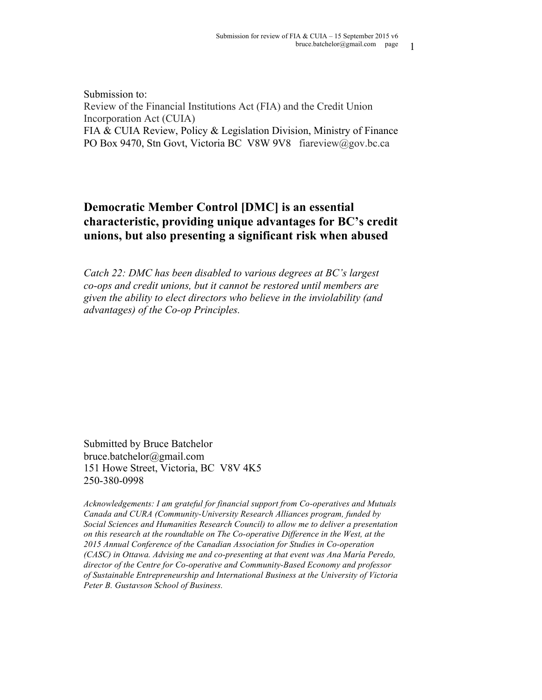Submission to: Review of the Financial Institutions Act (FIA) and the Credit Union Incorporation Act (CUIA) FIA & CUIA Review, Policy & Legislation Division, Ministry of Finance PO Box 9470, Stn Govt, Victoria BC V8W 9V8 fiareview@gov.bc.ca

# **Democratic Member Control [DMC] is an essential characteristic, providing unique advantages for BC's credit unions, but also presenting a significant risk when abused**

*Catch 22: DMC has been disabled to various degrees at BC's largest co-ops and credit unions, but it cannot be restored until members are given the ability to elect directors who believe in the inviolability (and advantages) of the Co-op Principles.*

Submitted by Bruce Batchelor bruce.batchelor@gmail.com 151 Howe Street, Victoria, BC V8V 4K5 250-380-0998

*Acknowledgements: I am grateful for financial support from Co-operatives and Mutuals Canada and CURA (Community-University Research Alliances program, funded by Social Sciences and Humanities Research Council) to allow me to deliver a presentation on this research at the roundtable on The Co-operative Difference in the West, at the 2015 Annual Conference of the Canadian Association for Studies in Co-operation (CASC) in Ottawa. Advising me and co-presenting at that event was Ana María Peredo, director of the Centre for Co-operative and Community-Based Economy and professor of Sustainable Entrepreneurship and International Business at the University of Victoria Peter B. Gustavson School of Business.*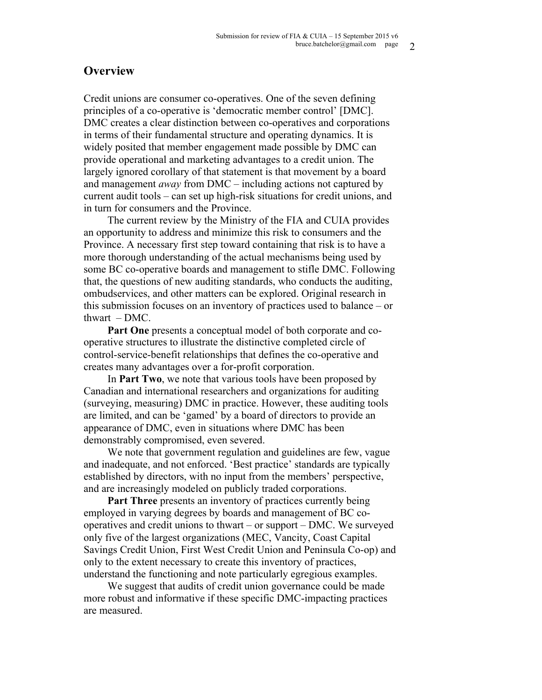## **Overview**

Credit unions are consumer co-operatives. One of the seven defining principles of a co-operative is 'democratic member control' [DMC]. DMC creates a clear distinction between co-operatives and corporations in terms of their fundamental structure and operating dynamics. It is widely posited that member engagement made possible by DMC can provide operational and marketing advantages to a credit union. The largely ignored corollary of that statement is that movement by a board and management *away* from DMC – including actions not captured by current audit tools – can set up high-risk situations for credit unions, and in turn for consumers and the Province.

The current review by the Ministry of the FIA and CUIA provides an opportunity to address and minimize this risk to consumers and the Province. A necessary first step toward containing that risk is to have a more thorough understanding of the actual mechanisms being used by some BC co-operative boards and management to stifle DMC. Following that, the questions of new auditing standards, who conducts the auditing, ombudservices, and other matters can be explored. Original research in this submission focuses on an inventory of practices used to balance – or thwart  $-DMC$ .

**Part One** presents a conceptual model of both corporate and cooperative structures to illustrate the distinctive completed circle of control-service-benefit relationships that defines the co-operative and creates many advantages over a for-profit corporation.

In **Part Two**, we note that various tools have been proposed by Canadian and international researchers and organizations for auditing (surveying, measuring) DMC in practice. However, these auditing tools are limited, and can be 'gamed' by a board of directors to provide an appearance of DMC, even in situations where DMC has been demonstrably compromised, even severed.

We note that government regulation and guidelines are few, vague and inadequate, and not enforced. 'Best practice' standards are typically established by directors, with no input from the members' perspective, and are increasingly modeled on publicly traded corporations.

**Part Three** presents an inventory of practices currently being employed in varying degrees by boards and management of BC cooperatives and credit unions to thwart – or support – DMC. We surveyed only five of the largest organizations (MEC, Vancity, Coast Capital Savings Credit Union, First West Credit Union and Peninsula Co-op) and only to the extent necessary to create this inventory of practices, understand the functioning and note particularly egregious examples.

We suggest that audits of credit union governance could be made more robust and informative if these specific DMC-impacting practices are measured.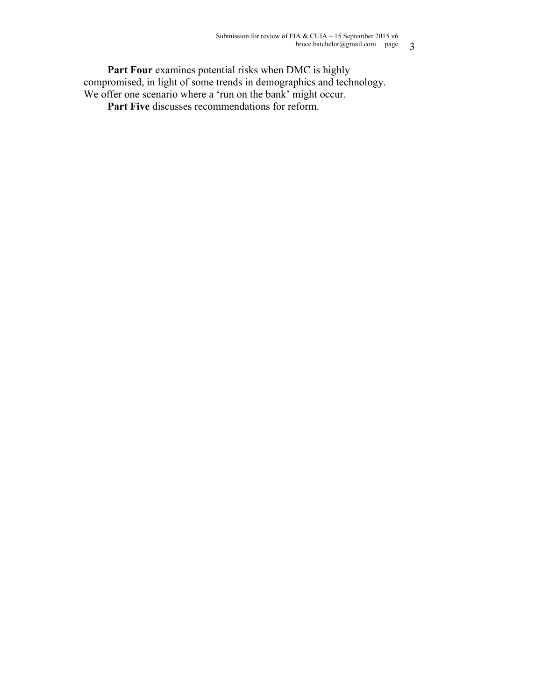Part Four examines potential risks when DMC is highly compromised, in light of some trends in demographics and technology. We offer one scenario where a 'run on the bank' might occur.

Part Five discusses recommendations for reform.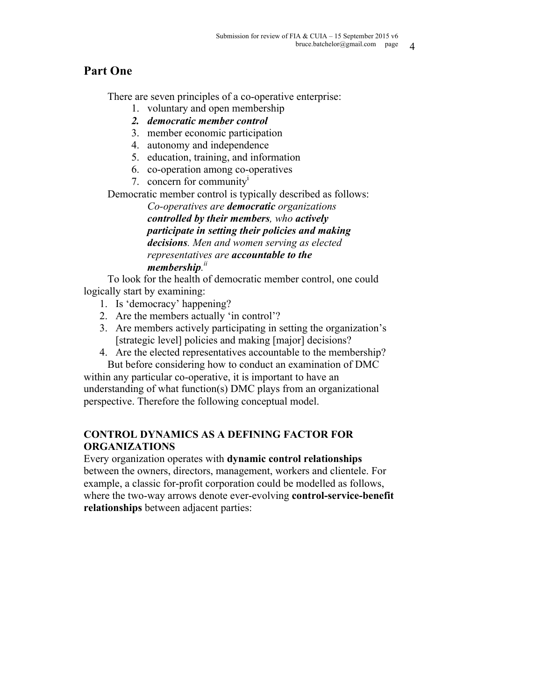# **Part One**

There are seven principles of a co-operative enterprise:

- 1. voluntary and open membership
- *2. democratic member control*
- 3. member economic participation
- 4. autonomy and independence
- 5. education, training, and information
- 6. co-operation among co-operatives
- 7. concern for communityi

Democratic member control is typically described as follows:

*Co-operatives are democratic organizations controlled by their members, who actively participate in setting their policies and making decisions. Men and women serving as elected representatives are accountable to the membership. ii*

To look for the health of democratic member control, one could logically start by examining:

- 1. Is 'democracy' happening?
- 2. Are the members actually 'in control'?
- 3. Are members actively participating in setting the organization's [strategic level] policies and making [major] decisions?
- 4. Are the elected representatives accountable to the membership? But before considering how to conduct an examination of DMC

within any particular co-operative, it is important to have an understanding of what function(s) DMC plays from an organizational perspective. Therefore the following conceptual model.

# **CONTROL DYNAMICS AS A DEFINING FACTOR FOR ORGANIZATIONS**

Every organization operates with **dynamic control relationships** between the owners, directors, management, workers and clientele. For example, a classic for-profit corporation could be modelled as follows, where the two-way arrows denote ever-evolving **control-service-benefit relationships** between adjacent parties: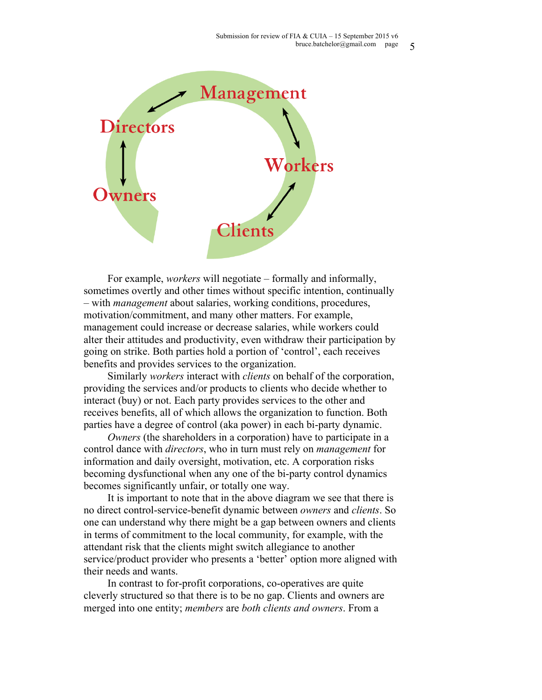

For example, *workers* will negotiate – formally and informally, sometimes overtly and other times without specific intention, continually – with *management* about salaries, working conditions, procedures, motivation/commitment, and many other matters. For example, management could increase or decrease salaries, while workers could alter their attitudes and productivity, even withdraw their participation by going on strike. Both parties hold a portion of 'control', each receives benefits and provides services to the organization.

Similarly *workers* interact with *clients* on behalf of the corporation, providing the services and/or products to clients who decide whether to interact (buy) or not. Each party provides services to the other and receives benefits, all of which allows the organization to function. Both parties have a degree of control (aka power) in each bi-party dynamic.

*Owners* (the shareholders in a corporation) have to participate in a control dance with *directors*, who in turn must rely on *management* for information and daily oversight, motivation, etc. A corporation risks becoming dysfunctional when any one of the bi-party control dynamics becomes significantly unfair, or totally one way.

It is important to note that in the above diagram we see that there is no direct control-service-benefit dynamic between *owners* and *clients*. So one can understand why there might be a gap between owners and clients in terms of commitment to the local community, for example, with the attendant risk that the clients might switch allegiance to another service/product provider who presents a 'better' option more aligned with their needs and wants.

In contrast to for-profit corporations, co-operatives are quite cleverly structured so that there is to be no gap. Clients and owners are merged into one entity; *members* are *both clients and owners*. From a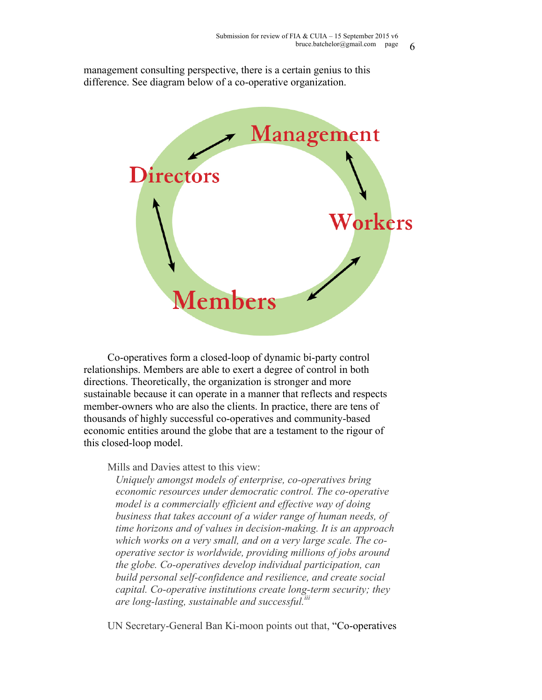management consulting perspective, there is a certain genius to this difference. See diagram below of a co-operative organization.



Co-operatives form a closed-loop of dynamic bi-party control relationships. Members are able to exert a degree of control in both directions. Theoretically, the organization is stronger and more sustainable because it can operate in a manner that reflects and respects member-owners who are also the clients. In practice, there are tens of thousands of highly successful co-operatives and community-based economic entities around the globe that are a testament to the rigour of this closed-loop model.

Mills and Davies attest to this view:

*Uniquely amongst models of enterprise, co-operatives bring economic resources under democratic control. The co-operative model is a commercially efficient and effective way of doing business that takes account of a wider range of human needs, of time horizons and of values in decision-making. It is an approach which works on a very small, and on a very large scale. The cooperative sector is worldwide, providing millions of jobs around the globe. Co-operatives develop individual participation, can build personal self-confidence and resilience, and create social capital. Co-operative institutions create long-term security; they are long-lasting, sustainable and successful.iii*

UN Secretary-General Ban Ki-moon points out that, "Co-operatives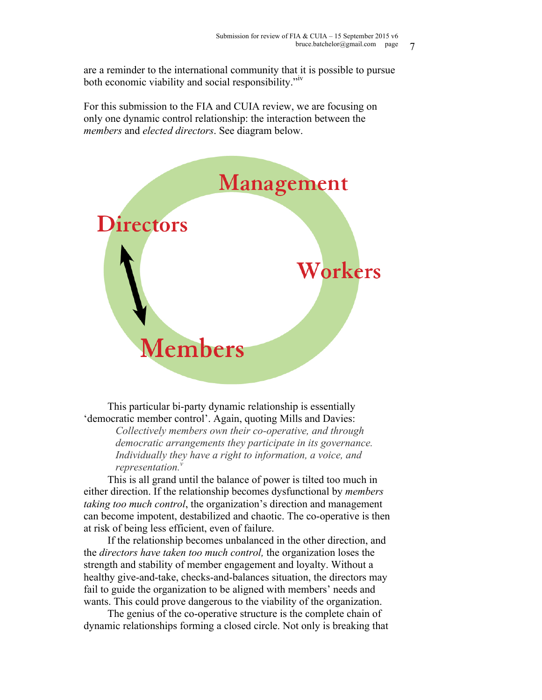are a reminder to the international community that it is possible to pursue both economic viability and social responsibility."iv

For this submission to the FIA and CUIA review, we are focusing on only one dynamic control relationship: the interaction between the *members* and *elected directors*. See diagram below.



This particular bi-party dynamic relationship is essentially 'democratic member control'. Again, quoting Mills and Davies:

> *Collectively members own their co-operative, and through democratic arrangements they participate in its governance. Individually they have a right to information, a voice, and representation.*<sup>*v*</sup>

This is all grand until the balance of power is tilted too much in either direction. If the relationship becomes dysfunctional by *members taking too much control*, the organization's direction and management can become impotent, destabilized and chaotic. The co-operative is then at risk of being less efficient, even of failure.

If the relationship becomes unbalanced in the other direction, and the *directors have taken too much control,* the organization loses the strength and stability of member engagement and loyalty. Without a healthy give-and-take, checks-and-balances situation, the directors may fail to guide the organization to be aligned with members' needs and wants. This could prove dangerous to the viability of the organization.

The genius of the co-operative structure is the complete chain of dynamic relationships forming a closed circle. Not only is breaking that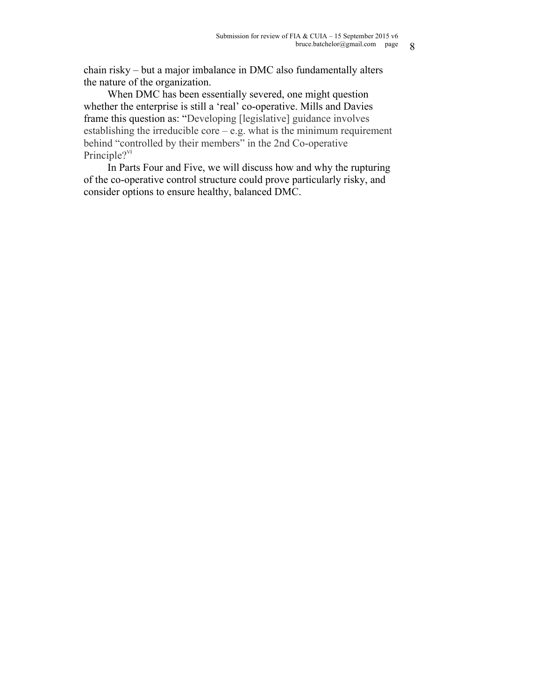chain risky – but a major imbalance in DMC also fundamentally alters the nature of the organization.

When DMC has been essentially severed, one might question whether the enterprise is still a 'real' co-operative. Mills and Davies frame this question as: "Developing [legislative] guidance involves establishing the irreducible core  $-e.g.$  what is the minimum requirement behind "controlled by their members" in the 2nd Co-operative Principle?<sup>vi</sup>

In Parts Four and Five, we will discuss how and why the rupturing of the co-operative control structure could prove particularly risky, and consider options to ensure healthy, balanced DMC.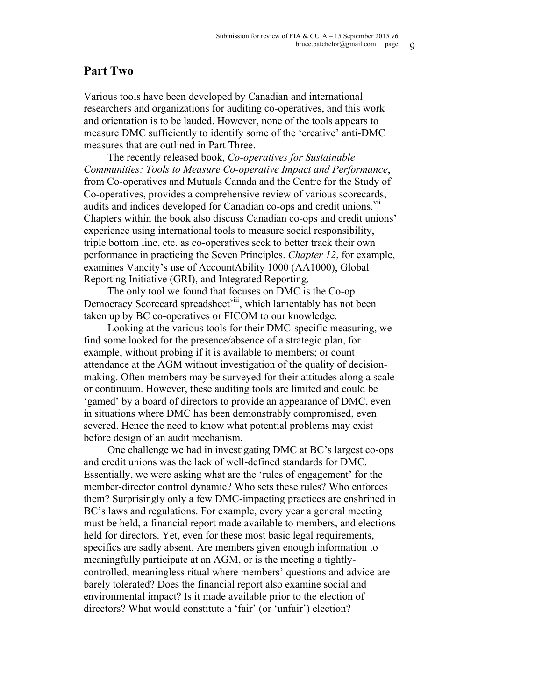# **Part Two**

Various tools have been developed by Canadian and international researchers and organizations for auditing co-operatives, and this work and orientation is to be lauded. However, none of the tools appears to measure DMC sufficiently to identify some of the 'creative' anti-DMC measures that are outlined in Part Three.

The recently released book, *Co-operatives for Sustainable Communities: Tools to Measure Co-operative Impact and Performance*, from Co-operatives and Mutuals Canada and the Centre for the Study of Co-operatives, provides a comprehensive review of various scorecards, audits and indices developed for Canadian co-ops and credit unions.<sup>VII</sup> Chapters within the book also discuss Canadian co-ops and credit unions' experience using international tools to measure social responsibility, triple bottom line, etc. as co-operatives seek to better track their own performance in practicing the Seven Principles. *Chapter 12*, for example, examines Vancity's use of AccountAbility 1000 (AA1000), Global Reporting Initiative (GRI), and Integrated Reporting.

The only tool we found that focuses on DMC is the Co-op Democracy Scorecard spreadsheet<sup>viii</sup>, which lamentably has not been taken up by BC co-operatives or FICOM to our knowledge.

Looking at the various tools for their DMC-specific measuring, we find some looked for the presence/absence of a strategic plan, for example, without probing if it is available to members; or count attendance at the AGM without investigation of the quality of decisionmaking. Often members may be surveyed for their attitudes along a scale or continuum. However, these auditing tools are limited and could be 'gamed' by a board of directors to provide an appearance of DMC, even in situations where DMC has been demonstrably compromised, even severed. Hence the need to know what potential problems may exist before design of an audit mechanism.

One challenge we had in investigating DMC at BC's largest co-ops and credit unions was the lack of well-defined standards for DMC. Essentially, we were asking what are the 'rules of engagement' for the member-director control dynamic? Who sets these rules? Who enforces them? Surprisingly only a few DMC-impacting practices are enshrined in BC's laws and regulations. For example, every year a general meeting must be held, a financial report made available to members, and elections held for directors. Yet, even for these most basic legal requirements, specifics are sadly absent. Are members given enough information to meaningfully participate at an AGM, or is the meeting a tightlycontrolled, meaningless ritual where members' questions and advice are barely tolerated? Does the financial report also examine social and environmental impact? Is it made available prior to the election of directors? What would constitute a 'fair' (or 'unfair') election?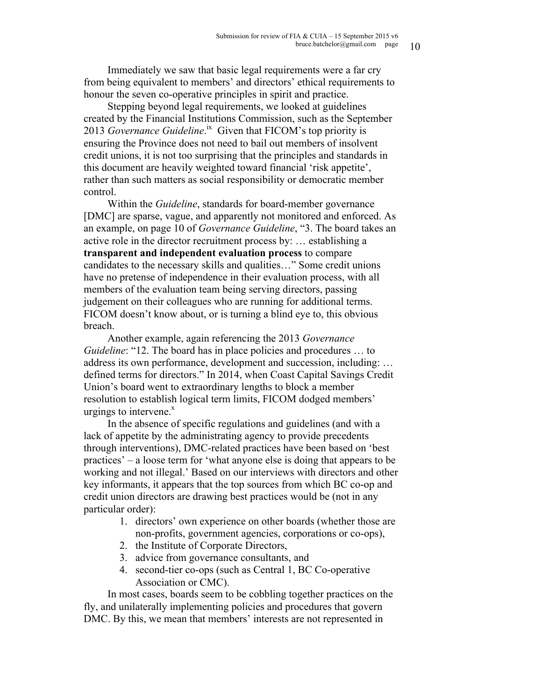Immediately we saw that basic legal requirements were a far cry from being equivalent to members' and directors' ethical requirements to honour the seven co-operative principles in spirit and practice.

Stepping beyond legal requirements, we looked at guidelines created by the Financial Institutions Commission, such as the September 2013 *Governance Guideline*.<sup>ix</sup> Given that FICOM's top priority is ensuring the Province does not need to bail out members of insolvent credit unions, it is not too surprising that the principles and standards in this document are heavily weighted toward financial 'risk appetite', rather than such matters as social responsibility or democratic member control.

Within the *Guideline*, standards for board-member governance [DMC] are sparse, vague, and apparently not monitored and enforced. As an example, on page 10 of *Governance Guideline*, "3. The board takes an active role in the director recruitment process by: … establishing a **transparent and independent evaluation process** to compare candidates to the necessary skills and qualities…" Some credit unions have no pretense of independence in their evaluation process, with all members of the evaluation team being serving directors, passing judgement on their colleagues who are running for additional terms. FICOM doesn't know about, or is turning a blind eye to, this obvious breach.

Another example, again referencing the 2013 *Governance Guideline*: "12. The board has in place policies and procedures ... to address its own performance, development and succession, including: … defined terms for directors." In 2014, when Coast Capital Savings Credit Union's board went to extraordinary lengths to block a member resolution to establish logical term limits, FICOM dodged members' urgings to intervene. $x$ 

In the absence of specific regulations and guidelines (and with a lack of appetite by the administrating agency to provide precedents through interventions), DMC-related practices have been based on 'best practices' – a loose term for 'what anyone else is doing that appears to be working and not illegal.' Based on our interviews with directors and other key informants, it appears that the top sources from which BC co-op and credit union directors are drawing best practices would be (not in any particular order):

- 1. directors' own experience on other boards (whether those are non-profits, government agencies, corporations or co-ops),
- 2. the Institute of Corporate Directors,
- 3. advice from governance consultants, and
- 4. second-tier co-ops (such as Central 1, BC Co-operative Association or CMC).

In most cases, boards seem to be cobbling together practices on the fly, and unilaterally implementing policies and procedures that govern DMC. By this, we mean that members' interests are not represented in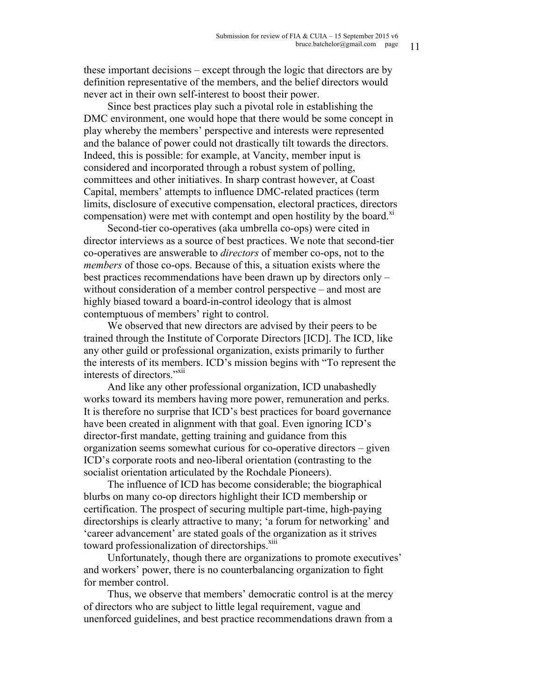these important decisions – except through the logic that directors are by definition representative of the members, and the belief directors would never act in their own self-interest to boost their power.

Since best practices play such a pivotal role in establishing the DMC environment, one would hope that there would be some concept in play whereby the members' perspective and interests were represented and the balance of power could not drastically tilt towards the directors. Indeed, this is possible: for example, at Vancity, member input is considered and incorporated through a robust system of polling, committees and other initiatives. In sharp contrast however, at Coast Capital, members' attempts to influence DMC-related practices (term limits, disclosure of executive compensation, electoral practices, directors compensation) were met with contempt and open hostility by the board. $X<sup>1</sup>$ 

Second-tier co-operatives (aka umbrella co-ops) were cited in director interviews as a source of best practices. We note that second-tier co-operatives are answerable to *directors* of member co-ops, not to the *members* of those co-ops. Because of this, a situation exists where the best practices recommendations have been drawn up by directors only – without consideration of a member control perspective – and most are highly biased toward a board-in-control ideology that is almost contemptuous of members' right to control.

We observed that new directors are advised by their peers to be trained through the Institute of Corporate Directors [ICD]. The ICD, like any other guild or professional organization, exists primarily to further the interests of its members. ICD's mission begins with "To represent the interests of directors."<sup>xii</sup>

And like any other professional organization, ICD unabashedly works toward its members having more power, remuneration and perks. It is therefore no surprise that ICD's best practices for board governance have been created in alignment with that goal. Even ignoring ICD's director-first mandate, getting training and guidance from this organization seems somewhat curious for co-operative directors – given ICD's corporate roots and neo-liberal orientation (contrasting to the socialist orientation articulated by the Rochdale Pioneers).

The influence of ICD has become considerable; the biographical blurbs on many co-op directors highlight their ICD membership or certification. The prospect of securing multiple part-time, high-paying directorships is clearly attractive to many; 'a forum for networking' and 'career advancement' are stated goals of the organization as it strives toward professionalization of directorships.<sup>xiii</sup>

Unfortunately, though there are organizations to promote executives' and workers' power, there is no counterbalancing organization to fight for member control.

Thus, we observe that members' democratic control is at the mercy of directors who are subject to little legal requirement, vague and unenforced guidelines, and best practice recommendations drawn from a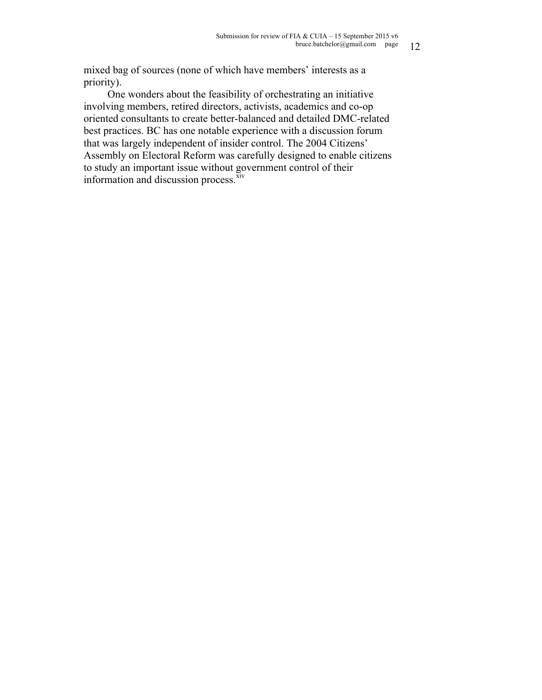mixed bag of sources (none of which have members' interests as a priority).

One wonders about the feasibility of orchestrating an initiative involving members, retired directors, activists, academics and co-op oriented consultants to create better-balanced and detailed DMC-related best practices. BC has one notable experience with a discussion forum that was largely independent of insider control. The 2004 Citizens' Assembly on Electoral Reform was carefully designed to enable citizens to study an important issue without government control of their information and discussion process. $\frac{\bar{x}^{\bar{x}^{\prime}}}{\bar{x}^{\prime}}$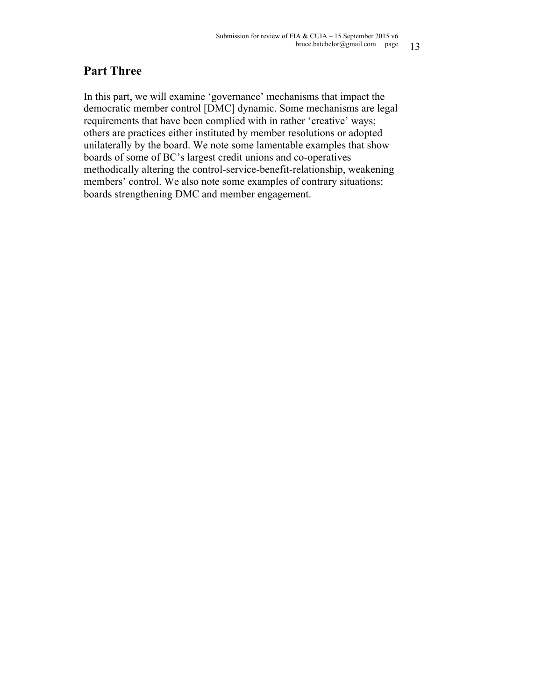# **Part Three**

In this part, we will examine 'governance' mechanisms that impact the democratic member control [DMC] dynamic. Some mechanisms are legal requirements that have been complied with in rather 'creative' ways; others are practices either instituted by member resolutions or adopted unilaterally by the board. We note some lamentable examples that show boards of some of BC's largest credit unions and co-operatives methodically altering the control-service-benefit-relationship, weakening members' control. We also note some examples of contrary situations: boards strengthening DMC and member engagement.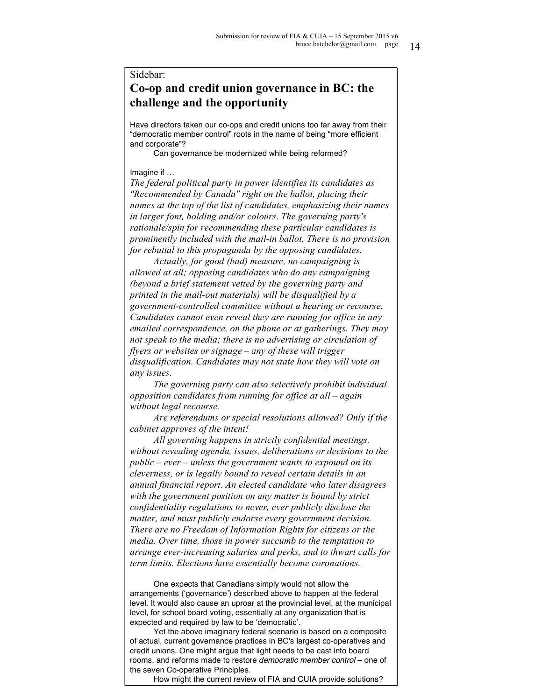#### Sidebar:

# **Co-op and credit union governance in BC: the challenge and the opportunity**

Have directors taken our co-ops and credit unions too far away from their "democratic member control" roots in the name of being "more efficient and corporate"?

Can governance be modernized while being reformed?

Imagine if …

*The federal political party in power identifies its candidates as "Recommended by Canada" right on the ballot, placing their names at the top of the list of candidates, emphasizing their names in larger font, bolding and/or colours. The governing party's rationale/spin for recommending these particular candidates is prominently included with the mail-in ballot. There is no provision for rebuttal to this propaganda by the opposing candidates.*

*Actually, for good (bad) measure, no campaigning is allowed at all; opposing candidates who do any campaigning (beyond a brief statement vetted by the governing party and printed in the mail-out materials) will be disqualified by a government-controlled committee without a hearing or recourse. Candidates cannot even reveal they are running for office in any emailed correspondence, on the phone or at gatherings. They may not speak to the media; there is no advertising or circulation of flyers or websites or signage – any of these will trigger disqualification. Candidates may not state how they will vote on any issues.*

*The governing party can also selectively prohibit individual opposition candidates from running for office at all – again without legal recourse.* 

*Are referendums or special resolutions allowed? Only if the cabinet approves of the intent!*

*All governing happens in strictly confidential meetings, without revealing agenda, issues, deliberations or decisions to the public – ever – unless the government wants to expound on its cleverness, or is legally bound to reveal certain details in an annual financial report. An elected candidate who later disagrees with the government position on any matter is bound by strict confidentiality regulations to never, ever publicly disclose the matter, and must publicly endorse every government decision. There are no Freedom of Information Rights for citizens or the media. Over time, those in power succumb to the temptation to arrange ever-increasing salaries and perks, and to thwart calls for term limits. Elections have essentially become coronations.*

One expects that Canadians simply would not allow the arrangements ('governance') described above to happen at the federal level. It would also cause an uproar at the provincial level, at the municipal level, for school board voting, essentially at any organization that is expected and required by law to be 'democratic'.

Yet the above imaginary federal scenario is based on a composite of actual, current governance practices in BC's largest co-operatives and credit unions. One might argue that light needs to be cast into board rooms, and reforms made to restore *democratic member control* – one of the seven Co-operative Principles.

How might the current review of FIA and CUIA provide solutions?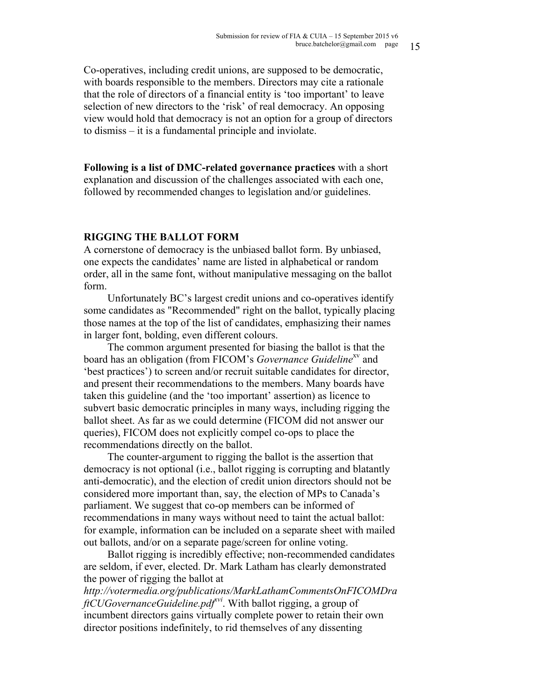Co-operatives, including credit unions, are supposed to be democratic, with boards responsible to the members. Directors may cite a rationale that the role of directors of a financial entity is 'too important' to leave selection of new directors to the 'risk' of real democracy. An opposing view would hold that democracy is not an option for a group of directors to dismiss – it is a fundamental principle and inviolate.

**Following is a list of DMC-related governance practices** with a short explanation and discussion of the challenges associated with each one, followed by recommended changes to legislation and/or guidelines.

#### **RIGGING THE BALLOT FORM**

A cornerstone of democracy is the unbiased ballot form. By unbiased, one expects the candidates' name are listed in alphabetical or random order, all in the same font, without manipulative messaging on the ballot form.

Unfortunately BC's largest credit unions and co-operatives identify some candidates as "Recommended" right on the ballot, typically placing those names at the top of the list of candidates, emphasizing their names in larger font, bolding, even different colours.

The common argument presented for biasing the ballot is that the board has an obligation (from FICOM's *Governance Guideline*<sup>xv</sup> and 'best practices') to screen and/or recruit suitable candidates for director, and present their recommendations to the members. Many boards have taken this guideline (and the 'too important' assertion) as licence to subvert basic democratic principles in many ways, including rigging the ballot sheet. As far as we could determine (FICOM did not answer our queries), FICOM does not explicitly compel co-ops to place the recommendations directly on the ballot.

The counter-argument to rigging the ballot is the assertion that democracy is not optional (i.e., ballot rigging is corrupting and blatantly anti-democratic), and the election of credit union directors should not be considered more important than, say, the election of MPs to Canada's parliament. We suggest that co-op members can be informed of recommendations in many ways without need to taint the actual ballot: for example, information can be included on a separate sheet with mailed out ballots, and/or on a separate page/screen for online voting.

Ballot rigging is incredibly effective; non-recommended candidates are seldom, if ever, elected. Dr. Mark Latham has clearly demonstrated the power of rigging the ballot at

*http://votermedia.org/publications/MarkLathamCommentsOnFICOMDra ftCUGovernanceGuideline.pdf<sup>vi</sup>*. With ballot rigging, a group of incumbent directors gains virtually complete power to retain their own director positions indefinitely, to rid themselves of any dissenting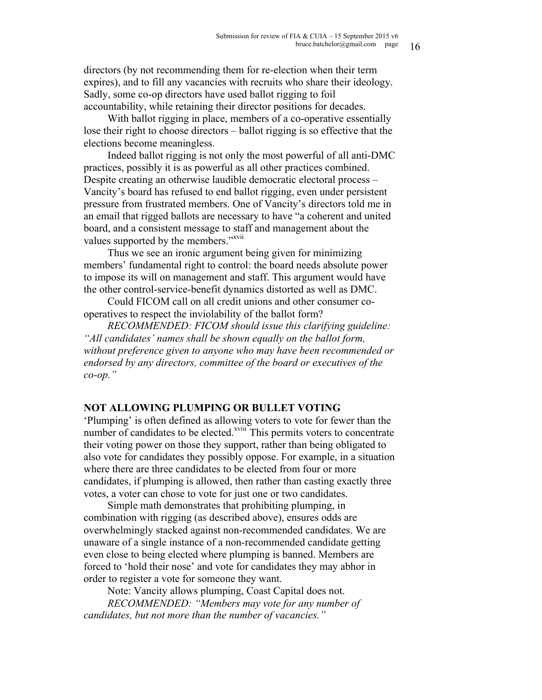directors (by not recommending them for re-election when their term expires), and to fill any vacancies with recruits who share their ideology. Sadly, some co-op directors have used ballot rigging to foil accountability, while retaining their director positions for decades.

With ballot rigging in place, members of a co-operative essentially lose their right to choose directors – ballot rigging is so effective that the elections become meaningless.

Indeed ballot rigging is not only the most powerful of all anti-DMC practices, possibly it is as powerful as all other practices combined. Despite creating an otherwise laudible democratic electoral process – Vancity's board has refused to end ballot rigging, even under persistent pressure from frustrated members. One of Vancity's directors told me in an email that rigged ballots are necessary to have "a coherent and united board, and a consistent message to staff and management about the values supported by the members."<sup>xvii</sup>

Thus we see an ironic argument being given for minimizing members' fundamental right to control: the board needs absolute power to impose its will on management and staff. This argument would have the other control-service-benefit dynamics distorted as well as DMC.

Could FICOM call on all credit unions and other consumer cooperatives to respect the inviolability of the ballot form?

*RECOMMENDED: FICOM should issue this clarifying guideline: "All candidates' names shall be shown equally on the ballot form, without preference given to anyone who may have been recommended or endorsed by any directors, committee of the board or executives of the co-op."*

### **NOT ALLOWING PLUMPING OR BULLET VOTING**

'Plumping' is often defined as allowing voters to vote for fewer than the number of candidates to be elected.<sup>xviii</sup> This permits voters to concentrate their voting power on those they support, rather than being obligated to also vote for candidates they possibly oppose. For example, in a situation where there are three candidates to be elected from four or more candidates, if plumping is allowed, then rather than casting exactly three votes, a voter can chose to vote for just one or two candidates.

Simple math demonstrates that prohibiting plumping, in combination with rigging (as described above), ensures odds are overwhelmingly stacked against non-recommended candidates. We are unaware of a single instance of a non-recommended candidate getting even close to being elected where plumping is banned. Members are forced to 'hold their nose' and vote for candidates they may abhor in order to register a vote for someone they want.

Note: Vancity allows plumping, Coast Capital does not.

*RECOMMENDED: "Members may vote for any number of candidates, but not more than the number of vacancies."*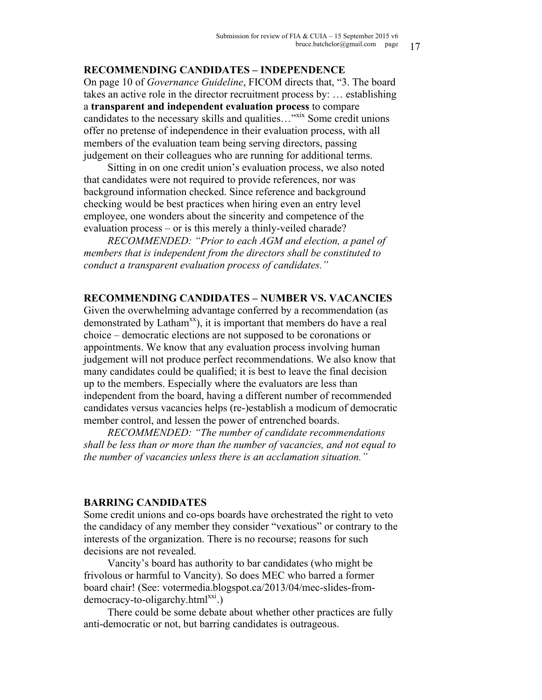#### **RECOMMENDING CANDIDATES – INDEPENDENCE**

On page 10 of *Governance Guideline*, FICOM directs that, "3. The board takes an active role in the director recruitment process by: … establishing a **transparent and independent evaluation process** to compare candidates to the necessary skills and qualities...<sup>"xix</sup> Some credit unions" offer no pretense of independence in their evaluation process, with all members of the evaluation team being serving directors, passing judgement on their colleagues who are running for additional terms.

Sitting in on one credit union's evaluation process, we also noted that candidates were not required to provide references, nor was background information checked. Since reference and background checking would be best practices when hiring even an entry level employee, one wonders about the sincerity and competence of the evaluation process – or is this merely a thinly-veiled charade?

*RECOMMENDED: "Prior to each AGM and election, a panel of members that is independent from the directors shall be constituted to conduct a transparent evaluation process of candidates."*

#### **RECOMMENDING CANDIDATES – NUMBER VS. VACANCIES**

Given the overwhelming advantage conferred by a recommendation (as demonstrated by Latham<sup>xx</sup>), it is important that members do have a real choice – democratic elections are not supposed to be coronations or appointments. We know that any evaluation process involving human judgement will not produce perfect recommendations. We also know that many candidates could be qualified; it is best to leave the final decision up to the members. Especially where the evaluators are less than independent from the board, having a different number of recommended candidates versus vacancies helps (re-)establish a modicum of democratic member control, and lessen the power of entrenched boards.

*RECOMMENDED: "The number of candidate recommendations shall be less than or more than the number of vacancies, and not equal to the number of vacancies unless there is an acclamation situation."*

#### **BARRING CANDIDATES**

Some credit unions and co-ops boards have orchestrated the right to veto the candidacy of any member they consider "vexatious" or contrary to the interests of the organization. There is no recourse; reasons for such decisions are not revealed.

Vancity's board has authority to bar candidates (who might be frivolous or harmful to Vancity). So does MEC who barred a former board chair! (See: votermedia.blogspot.ca/2013/04/mec-slides-from $democracy-to-oligarchy.html<sup>xx1</sup>$ .)

There could be some debate about whether other practices are fully anti-democratic or not, but barring candidates is outrageous.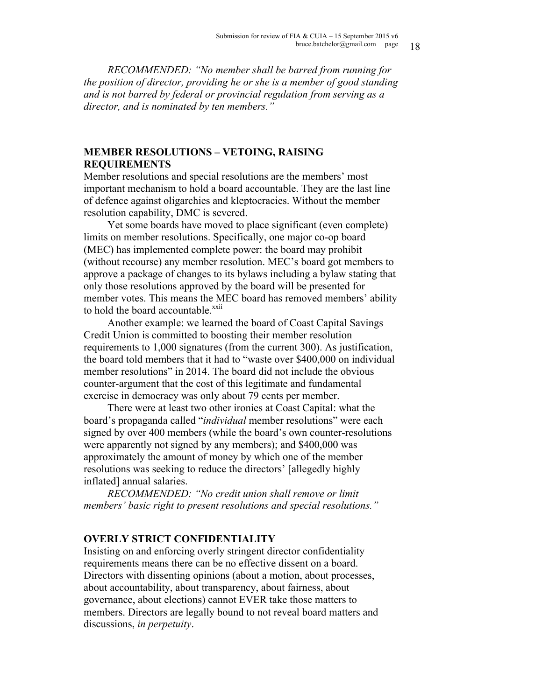*RECOMMENDED: "No member shall be barred from running for the position of director, providing he or she is a member of good standing and is not barred by federal or provincial regulation from serving as a director, and is nominated by ten members."*

#### **MEMBER RESOLUTIONS – VETOING, RAISING REQUIREMENTS**

Member resolutions and special resolutions are the members' most important mechanism to hold a board accountable. They are the last line of defence against oligarchies and kleptocracies. Without the member resolution capability, DMC is severed.

Yet some boards have moved to place significant (even complete) limits on member resolutions. Specifically, one major co-op board (MEC) has implemented complete power: the board may prohibit (without recourse) any member resolution. MEC's board got members to approve a package of changes to its bylaws including a bylaw stating that only those resolutions approved by the board will be presented for member votes. This means the MEC board has removed members' ability to hold the board accountable.<sup>xxii</sup>

Another example: we learned the board of Coast Capital Savings Credit Union is committed to boosting their member resolution requirements to 1,000 signatures (from the current 300). As justification, the board told members that it had to "waste over \$400,000 on individual member resolutions" in 2014. The board did not include the obvious counter-argument that the cost of this legitimate and fundamental exercise in democracy was only about 79 cents per member.

There were at least two other ironies at Coast Capital: what the board's propaganda called "*individual* member resolutions" were each signed by over 400 members (while the board's own counter-resolutions were apparently not signed by any members); and \$400,000 was approximately the amount of money by which one of the member resolutions was seeking to reduce the directors' [allegedly highly inflated] annual salaries.

*RECOMMENDED: "No credit union shall remove or limit members' basic right to present resolutions and special resolutions."*

#### **OVERLY STRICT CONFIDENTIALITY**

Insisting on and enforcing overly stringent director confidentiality requirements means there can be no effective dissent on a board. Directors with dissenting opinions (about a motion, about processes, about accountability, about transparency, about fairness, about governance, about elections) cannot EVER take those matters to members. Directors are legally bound to not reveal board matters and discussions, *in perpetuity*.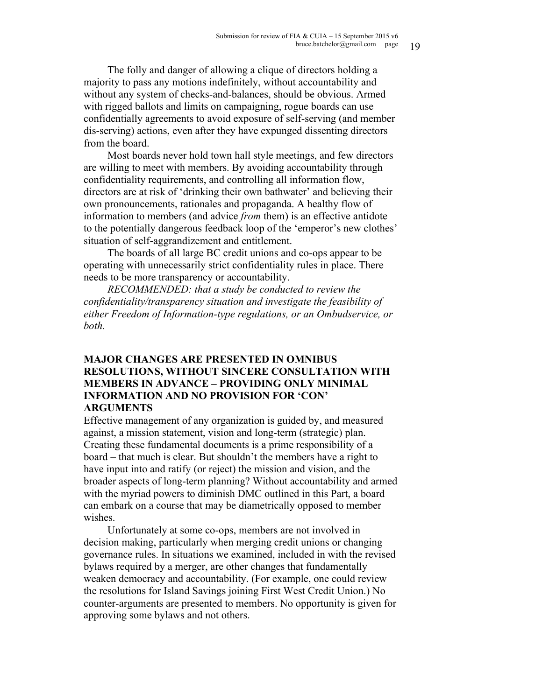The folly and danger of allowing a clique of directors holding a majority to pass any motions indefinitely, without accountability and without any system of checks-and-balances, should be obvious. Armed with rigged ballots and limits on campaigning, rogue boards can use confidentially agreements to avoid exposure of self-serving (and member dis-serving) actions, even after they have expunged dissenting directors from the board.

Most boards never hold town hall style meetings, and few directors are willing to meet with members. By avoiding accountability through confidentiality requirements, and controlling all information flow, directors are at risk of 'drinking their own bathwater' and believing their own pronouncements, rationales and propaganda. A healthy flow of information to members (and advice *from* them) is an effective antidote to the potentially dangerous feedback loop of the 'emperor's new clothes' situation of self-aggrandizement and entitlement.

The boards of all large BC credit unions and co-ops appear to be operating with unnecessarily strict confidentiality rules in place. There needs to be more transparency or accountability.

*RECOMMENDED: that a study be conducted to review the confidentiality/transparency situation and investigate the feasibility of either Freedom of Information-type regulations, or an Ombudservice, or both.*

## **MAJOR CHANGES ARE PRESENTED IN OMNIBUS RESOLUTIONS, WITHOUT SINCERE CONSULTATION WITH MEMBERS IN ADVANCE – PROVIDING ONLY MINIMAL INFORMATION AND NO PROVISION FOR 'CON' ARGUMENTS**

Effective management of any organization is guided by, and measured against, a mission statement, vision and long-term (strategic) plan. Creating these fundamental documents is a prime responsibility of a board – that much is clear. But shouldn't the members have a right to have input into and ratify (or reject) the mission and vision, and the broader aspects of long-term planning? Without accountability and armed with the myriad powers to diminish DMC outlined in this Part, a board can embark on a course that may be diametrically opposed to member wishes.

Unfortunately at some co-ops, members are not involved in decision making, particularly when merging credit unions or changing governance rules. In situations we examined, included in with the revised bylaws required by a merger, are other changes that fundamentally weaken democracy and accountability. (For example, one could review the resolutions for Island Savings joining First West Credit Union.) No counter-arguments are presented to members. No opportunity is given for approving some bylaws and not others.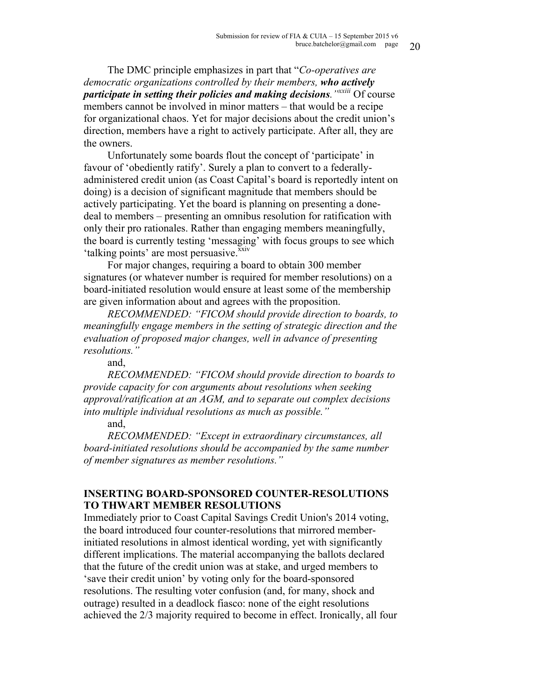The DMC principle emphasizes in part that "*Co-operatives are democratic organizations controlled by their members, who actively participate in setting their policies and making decisions."xxiii* Of course members cannot be involved in minor matters – that would be a recipe for organizational chaos. Yet for major decisions about the credit union's direction, members have a right to actively participate. After all, they are the owners.

Unfortunately some boards flout the concept of 'participate' in favour of 'obediently ratify'. Surely a plan to convert to a federallyadministered credit union (as Coast Capital's board is reportedly intent on doing) is a decision of significant magnitude that members should be actively participating. Yet the board is planning on presenting a donedeal to members – presenting an omnibus resolution for ratification with only their pro rationales. Rather than engaging members meaningfully, the board is currently testing 'messaging' with focus groups to see which 'talking points' are most persuasive.<sup>xxiv</sup>

For major changes, requiring a board to obtain 300 member signatures (or whatever number is required for member resolutions) on a board-initiated resolution would ensure at least some of the membership are given information about and agrees with the proposition.

*RECOMMENDED: "FICOM should provide direction to boards, to meaningfully engage members in the setting of strategic direction and the evaluation of proposed major changes, well in advance of presenting resolutions."*

and,

*RECOMMENDED: "FICOM should provide direction to boards to provide capacity for con arguments about resolutions when seeking approval/ratification at an AGM, and to separate out complex decisions into multiple individual resolutions as much as possible."*

#### and,

*RECOMMENDED: "Except in extraordinary circumstances, all board-initiated resolutions should be accompanied by the same number of member signatures as member resolutions."*

### **INSERTING BOARD-SPONSORED COUNTER-RESOLUTIONS TO THWART MEMBER RESOLUTIONS**

Immediately prior to Coast Capital Savings Credit Union's 2014 voting, the board introduced four counter-resolutions that mirrored memberinitiated resolutions in almost identical wording, yet with significantly different implications. The material accompanying the ballots declared that the future of the credit union was at stake, and urged members to 'save their credit union' by voting only for the board-sponsored resolutions. The resulting voter confusion (and, for many, shock and outrage) resulted in a deadlock fiasco: none of the eight resolutions achieved the 2/3 majority required to become in effect. Ironically, all four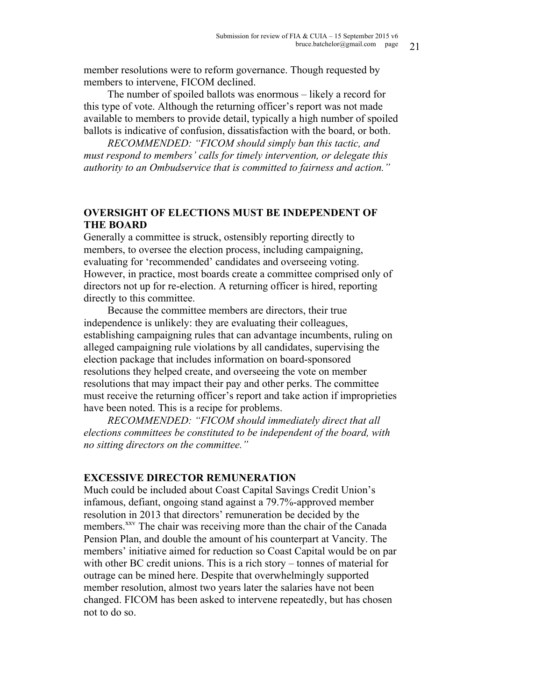member resolutions were to reform governance. Though requested by members to intervene, FICOM declined.

The number of spoiled ballots was enormous – likely a record for this type of vote. Although the returning officer's report was not made available to members to provide detail, typically a high number of spoiled ballots is indicative of confusion, dissatisfaction with the board, or both.

*RECOMMENDED: "FICOM should simply ban this tactic, and must respond to members' calls for timely intervention, or delegate this authority to an Ombudservice that is committed to fairness and action."*

## **OVERSIGHT OF ELECTIONS MUST BE INDEPENDENT OF THE BOARD**

Generally a committee is struck, ostensibly reporting directly to members, to oversee the election process, including campaigning, evaluating for 'recommended' candidates and overseeing voting. However, in practice, most boards create a committee comprised only of directors not up for re-election. A returning officer is hired, reporting directly to this committee.

Because the committee members are directors, their true independence is unlikely: they are evaluating their colleagues, establishing campaigning rules that can advantage incumbents, ruling on alleged campaigning rule violations by all candidates, supervising the election package that includes information on board-sponsored resolutions they helped create, and overseeing the vote on member resolutions that may impact their pay and other perks. The committee must receive the returning officer's report and take action if improprieties have been noted. This is a recipe for problems.

*RECOMMENDED: "FICOM should immediately direct that all elections committees be constituted to be independent of the board, with no sitting directors on the committee."*

#### **EXCESSIVE DIRECTOR REMUNERATION**

Much could be included about Coast Capital Savings Credit Union's infamous, defiant, ongoing stand against a 79.7%-approved member resolution in 2013 that directors' remuneration be decided by the members.<sup>xxv</sup> The chair was receiving more than the chair of the Canada Pension Plan, and double the amount of his counterpart at Vancity. The members' initiative aimed for reduction so Coast Capital would be on par with other BC credit unions. This is a rich story – tonnes of material for outrage can be mined here. Despite that overwhelmingly supported member resolution, almost two years later the salaries have not been changed. FICOM has been asked to intervene repeatedly, but has chosen not to do so.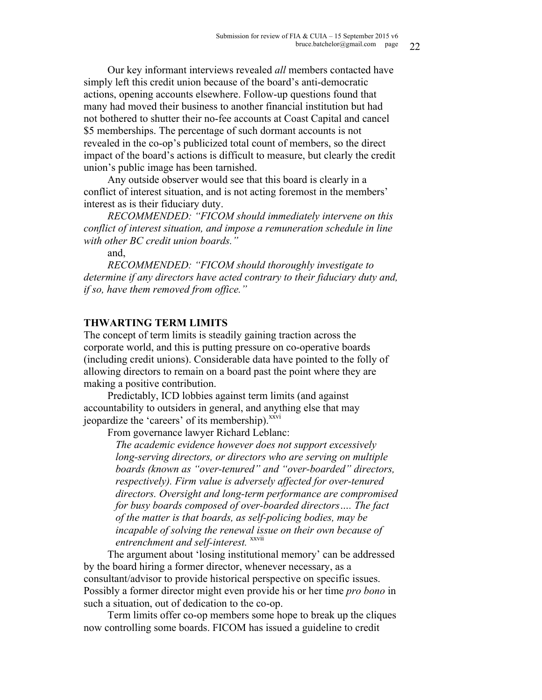Our key informant interviews revealed *all* members contacted have simply left this credit union because of the board's anti-democratic actions, opening accounts elsewhere. Follow-up questions found that many had moved their business to another financial institution but had not bothered to shutter their no-fee accounts at Coast Capital and cancel \$5 memberships. The percentage of such dormant accounts is not revealed in the co-op's publicized total count of members, so the direct impact of the board's actions is difficult to measure, but clearly the credit union's public image has been tarnished.

Any outside observer would see that this board is clearly in a conflict of interest situation, and is not acting foremost in the members' interest as is their fiduciary duty.

*RECOMMENDED: "FICOM should immediately intervene on this conflict of interest situation, and impose a remuneration schedule in line with other BC credit union boards."*

and,

*RECOMMENDED: "FICOM should thoroughly investigate to determine if any directors have acted contrary to their fiduciary duty and, if so, have them removed from office."*

## **THWARTING TERM LIMITS**

The concept of term limits is steadily gaining traction across the corporate world, and this is putting pressure on co-operative boards (including credit unions). Considerable data have pointed to the folly of allowing directors to remain on a board past the point where they are making a positive contribution.

Predictably, ICD lobbies against term limits (and against accountability to outsiders in general, and anything else that may jeopardize the 'careers' of its membership).<sup>xxvi</sup>

From governance lawyer Richard Leblanc:

*The academic evidence however does not support excessively long-serving directors, or directors who are serving on multiple boards (known as "over-tenured" and "over-boarded" directors, respectively). Firm value is adversely affected for over-tenured directors. Oversight and long-term performance are compromised for busy boards composed of over-boarded directors…. The fact of the matter is that boards, as self-policing bodies, may be incapable of solving the renewal issue on their own because of entrenchment and self-interest.* xxvii

The argument about 'losing institutional memory' can be addressed by the board hiring a former director, whenever necessary, as a consultant/advisor to provide historical perspective on specific issues. Possibly a former director might even provide his or her time *pro bono* in such a situation, out of dedication to the co-op.

Term limits offer co-op members some hope to break up the cliques now controlling some boards. FICOM has issued a guideline to credit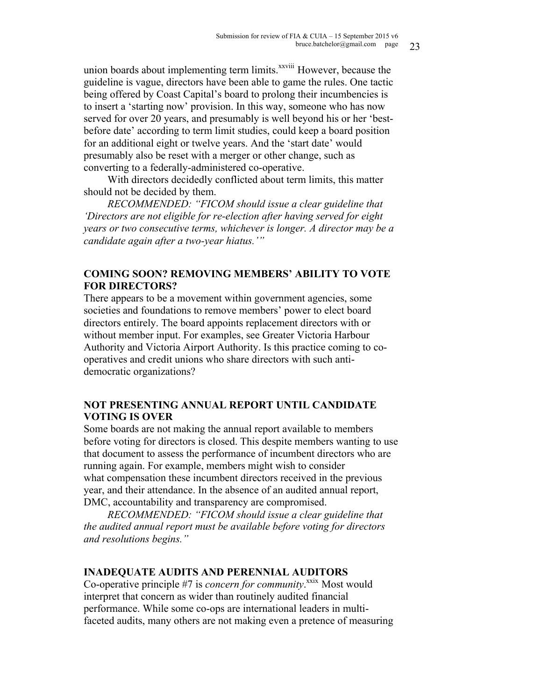union boards about implementing term limits.<sup>xxviii</sup> However, because the guideline is vague, directors have been able to game the rules. One tactic being offered by Coast Capital's board to prolong their incumbencies is to insert a 'starting now' provision. In this way, someone who has now served for over 20 years, and presumably is well beyond his or her 'bestbefore date' according to term limit studies, could keep a board position for an additional eight or twelve years. And the 'start date' would presumably also be reset with a merger or other change, such as converting to a federally-administered co-operative.

With directors decidedly conflicted about term limits, this matter should not be decided by them.

*RECOMMENDED: "FICOM should issue a clear guideline that 'Directors are not eligible for re-election after having served for eight years or two consecutive terms, whichever is longer. A director may be a candidate again after a two-year hiatus.'"*

## **COMING SOON? REMOVING MEMBERS' ABILITY TO VOTE FOR DIRECTORS?**

There appears to be a movement within government agencies, some societies and foundations to remove members' power to elect board directors entirely. The board appoints replacement directors with or without member input. For examples, see Greater Victoria Harbour Authority and Victoria Airport Authority. Is this practice coming to cooperatives and credit unions who share directors with such antidemocratic organizations?

## **NOT PRESENTING ANNUAL REPORT UNTIL CANDIDATE VOTING IS OVER**

Some boards are not making the annual report available to members before voting for directors is closed. This despite members wanting to use that document to assess the performance of incumbent directors who are running again. For example, members might wish to consider what compensation these incumbent directors received in the previous year, and their attendance. In the absence of an audited annual report, DMC, accountability and transparency are compromised.

*RECOMMENDED: "FICOM should issue a clear guideline that the audited annual report must be available before voting for directors and resolutions begins."*

## **INADEQUATE AUDITS AND PERENNIAL AUDITORS**

Co-operative principle #7 is *concern for community*.<sup>xxix</sup> Most would interpret that concern as wider than routinely audited financial performance. While some co-ops are international leaders in multifaceted audits, many others are not making even a pretence of measuring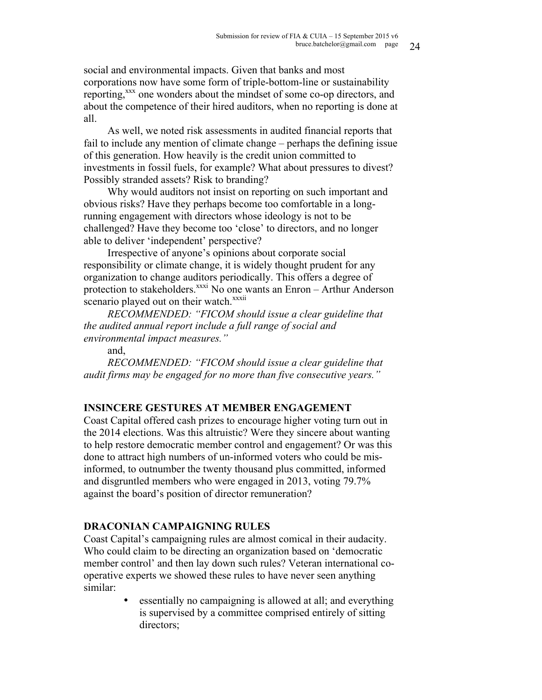social and environmental impacts. Given that banks and most corporations now have some form of triple-bottom-line or sustainability reporting,<sup>xxx</sup> one wonders about the mindset of some co-op directors, and about the competence of their hired auditors, when no reporting is done at all.

As well, we noted risk assessments in audited financial reports that fail to include any mention of climate change – perhaps the defining issue of this generation. How heavily is the credit union committed to investments in fossil fuels, for example? What about pressures to divest? Possibly stranded assets? Risk to branding?

Why would auditors not insist on reporting on such important and obvious risks? Have they perhaps become too comfortable in a longrunning engagement with directors whose ideology is not to be challenged? Have they become too 'close' to directors, and no longer able to deliver 'independent' perspective?

Irrespective of anyone's opinions about corporate social responsibility or climate change, it is widely thought prudent for any organization to change auditors periodically. This offers a degree of protection to stakeholders.<sup>xxxi</sup> No one wants an Enron – Arthur Anderson scenario played out on their watch.<sup>xxxii</sup>

*RECOMMENDED: "FICOM should issue a clear guideline that the audited annual report include a full range of social and environmental impact measures."*

and,

*RECOMMENDED: "FICOM should issue a clear guideline that audit firms may be engaged for no more than five consecutive years."*

# **INSINCERE GESTURES AT MEMBER ENGAGEMENT**

Coast Capital offered cash prizes to encourage higher voting turn out in the 2014 elections. Was this altruistic? Were they sincere about wanting to help restore democratic member control and engagement? Or was this done to attract high numbers of un-informed voters who could be misinformed, to outnumber the twenty thousand plus committed, informed and disgruntled members who were engaged in 2013, voting 79.7% against the board's position of director remuneration?

# **DRACONIAN CAMPAIGNING RULES**

Coast Capital's campaigning rules are almost comical in their audacity. Who could claim to be directing an organization based on 'democratic member control' and then lay down such rules? Veteran international cooperative experts we showed these rules to have never seen anything similar:

> • essentially no campaigning is allowed at all; and everything is supervised by a committee comprised entirely of sitting directors;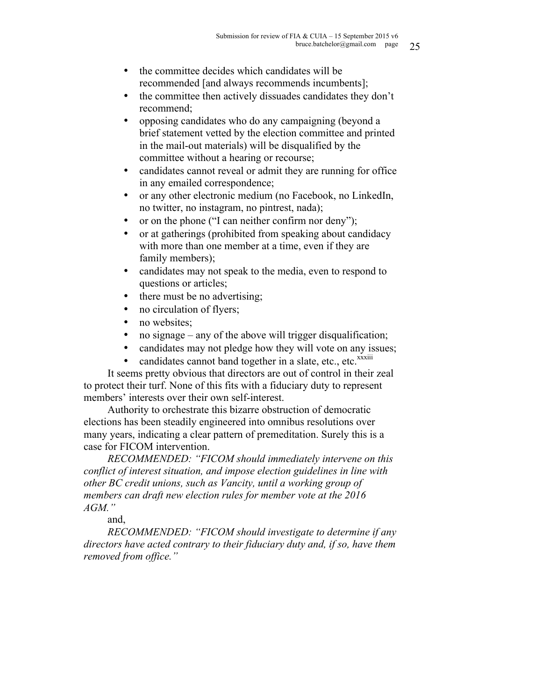- the committee decides which candidates will be recommended [and always recommends incumbents];
- the committee then actively dissuades candidates they don't recommend;
- opposing candidates who do any campaigning (beyond a brief statement vetted by the election committee and printed in the mail-out materials) will be disqualified by the committee without a hearing or recourse;
- candidates cannot reveal or admit they are running for office in any emailed correspondence;
- or any other electronic medium (no Facebook, no LinkedIn, no twitter, no instagram, no pintrest, nada);
- or on the phone ("I can neither confirm nor deny");
- or at gatherings (prohibited from speaking about candidacy with more than one member at a time, even if they are family members);
- candidates may not speak to the media, even to respond to questions or articles;
- there must be no advertising;
- no circulation of flyers;
- no websites;
- no signage any of the above will trigger disqualification;
- candidates may not pledge how they will vote on any issues;
- candidates cannot band together in a slate, etc., etc. $\frac{x}{x}$

It seems pretty obvious that directors are out of control in their zeal to protect their turf. None of this fits with a fiduciary duty to represent members' interests over their own self-interest.

Authority to orchestrate this bizarre obstruction of democratic elections has been steadily engineered into omnibus resolutions over many years, indicating a clear pattern of premeditation. Surely this is a case for FICOM intervention.

*RECOMMENDED: "FICOM should immediately intervene on this conflict of interest situation, and impose election guidelines in line with other BC credit unions, such as Vancity, until a working group of members can draft new election rules for member vote at the 2016 AGM."*

and,

*RECOMMENDED: "FICOM should investigate to determine if any directors have acted contrary to their fiduciary duty and, if so, have them removed from office."*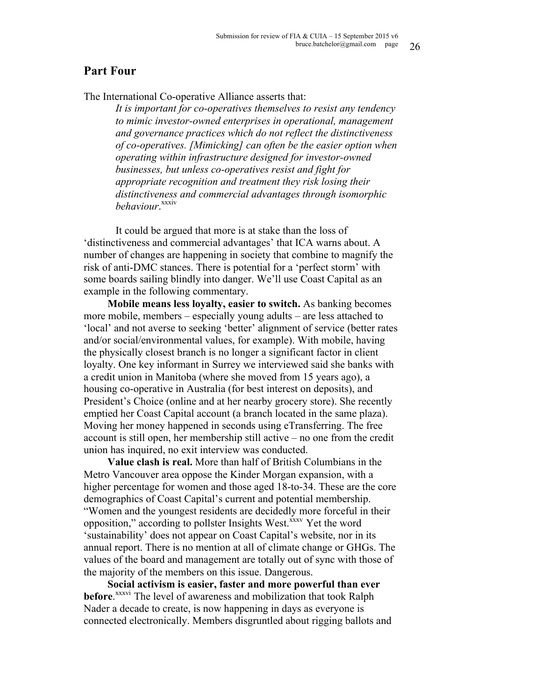# **Part Four**

The International Co-operative Alliance asserts that:

*It is important for co-operatives themselves to resist any tendency to mimic investor-owned enterprises in operational, management and governance practices which do not reflect the distinctiveness of co-operatives. [Mimicking] can often be the easier option when operating within infrastructure designed for investor-owned businesses, but unless co-operatives resist and fight for appropriate recognition and treatment they risk losing their distinctiveness and commercial advantages through isomorphic behaviour*. xxxiv

It could be argued that more is at stake than the loss of 'distinctiveness and commercial advantages' that ICA warns about. A number of changes are happening in society that combine to magnify the risk of anti-DMC stances. There is potential for a 'perfect storm' with some boards sailing blindly into danger. We'll use Coast Capital as an example in the following commentary.

**Mobile means less loyalty, easier to switch.** As banking becomes more mobile, members – especially young adults – are less attached to 'local' and not averse to seeking 'better' alignment of service (better rates and/or social/environmental values, for example). With mobile, having the physically closest branch is no longer a significant factor in client loyalty. One key informant in Surrey we interviewed said she banks with a credit union in Manitoba (where she moved from 15 years ago), a housing co-operative in Australia (for best interest on deposits), and President's Choice (online and at her nearby grocery store). She recently emptied her Coast Capital account (a branch located in the same plaza). Moving her money happened in seconds using eTransferring. The free account is still open, her membership still active – no one from the credit union has inquired, no exit interview was conducted.

**Value clash is real.** More than half of British Columbians in the Metro Vancouver area oppose the Kinder Morgan expansion, with a higher percentage for women and those aged 18-to-34. These are the core demographics of Coast Capital's current and potential membership. "Women and the youngest residents are decidedly more forceful in their opposition," according to pollster Insights West.<sup>xxxv</sup> Yet the word 'sustainability' does not appear on Coast Capital's website, nor in its annual report. There is no mention at all of climate change or GHGs. The values of the board and management are totally out of sync with those of the majority of the members on this issue. Dangerous.

**Social activism is easier, faster and more powerful than ever before**. xxxvi The level of awareness and mobilization that took Ralph Nader a decade to create, is now happening in days as everyone is connected electronically. Members disgruntled about rigging ballots and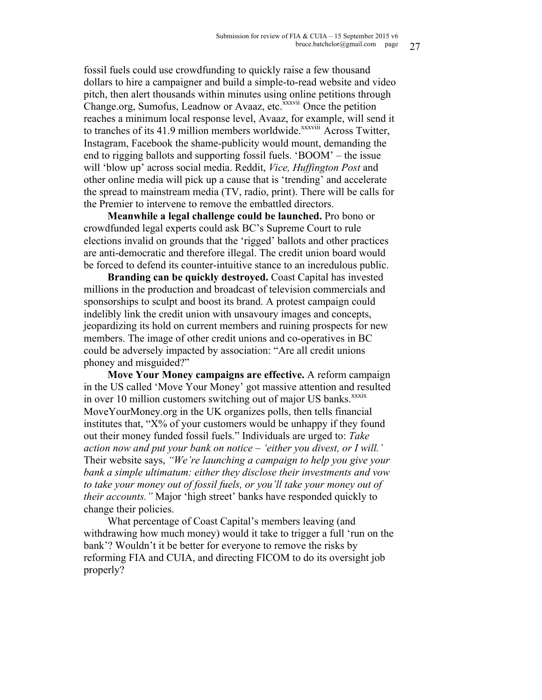fossil fuels could use crowdfunding to quickly raise a few thousand dollars to hire a campaigner and build a simple-to-read website and video pitch, then alert thousands within minutes using online petitions through Change.org, Sumofus, Leadnow or Avaaz, etc.<sup>xxxvii</sup> Once the petition reaches a minimum local response level, Avaaz, for example, will send it to tranches of its 41.9 million members worldwide.<sup>xxxviii</sup> Across Twitter, Instagram, Facebook the shame-publicity would mount, demanding the end to rigging ballots and supporting fossil fuels. 'BOOM' – the issue will 'blow up' across social media. Reddit, *Vice, Huffington Post* and other online media will pick up a cause that is 'trending' and accelerate the spread to mainstream media (TV, radio, print). There will be calls for the Premier to intervene to remove the embattled directors.

**Meanwhile a legal challenge could be launched.** Pro bono or crowdfunded legal experts could ask BC's Supreme Court to rule elections invalid on grounds that the 'rigged' ballots and other practices are anti-democratic and therefore illegal. The credit union board would be forced to defend its counter-intuitive stance to an incredulous public.

**Branding can be quickly destroyed.** Coast Capital has invested millions in the production and broadcast of television commercials and sponsorships to sculpt and boost its brand. A protest campaign could indelibly link the credit union with unsavoury images and concepts, jeopardizing its hold on current members and ruining prospects for new members. The image of other credit unions and co-operatives in BC could be adversely impacted by association: "Are all credit unions phoney and misguided?"

**Move Your Money campaigns are effective.** A reform campaign in the US called 'Move Your Money' got massive attention and resulted in over 10 million customers switching out of major US banks.<sup>xxxix</sup> MoveYourMoney.org in the UK organizes polls, then tells financial institutes that, " $X\%$  of your customers would be unhappy if they found out their money funded fossil fuels." Individuals are urged to: *Take action now and put your bank on notice – 'either you divest, or I will.'*  Their website says, *"We're launching a campaign to help you give your bank a simple ultimatum: either they disclose their investments and vow to take your money out of fossil fuels, or you'll take your money out of their accounts."* Major 'high street' banks have responded quickly to change their policies.

What percentage of Coast Capital's members leaving (and withdrawing how much money) would it take to trigger a full 'run on the bank'? Wouldn't it be better for everyone to remove the risks by reforming FIA and CUIA, and directing FICOM to do its oversight job properly?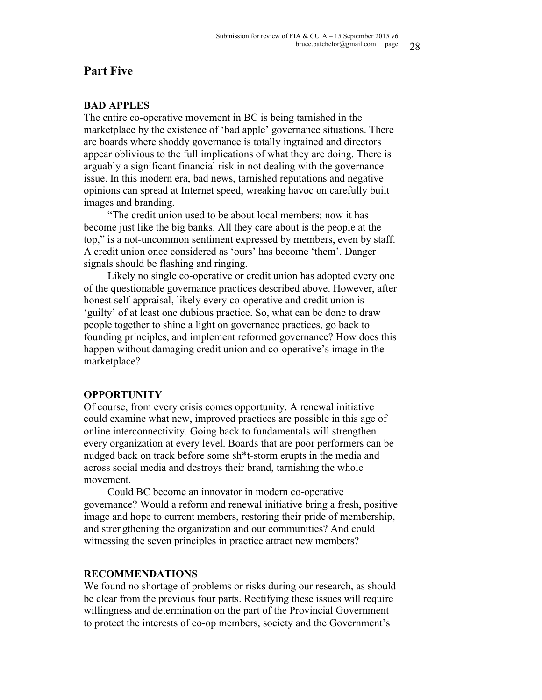## **Part Five**

#### **BAD APPLES**

The entire co-operative movement in BC is being tarnished in the marketplace by the existence of 'bad apple' governance situations. There are boards where shoddy governance is totally ingrained and directors appear oblivious to the full implications of what they are doing. There is arguably a significant financial risk in not dealing with the governance issue. In this modern era, bad news, tarnished reputations and negative opinions can spread at Internet speed, wreaking havoc on carefully built images and branding.

"The credit union used to be about local members; now it has become just like the big banks. All they care about is the people at the top," is a not-uncommon sentiment expressed by members, even by staff. A credit union once considered as 'ours' has become 'them'. Danger signals should be flashing and ringing.

Likely no single co-operative or credit union has adopted every one of the questionable governance practices described above. However, after honest self-appraisal, likely every co-operative and credit union is 'guilty' of at least one dubious practice. So, what can be done to draw people together to shine a light on governance practices, go back to founding principles, and implement reformed governance? How does this happen without damaging credit union and co-operative's image in the marketplace?

#### **OPPORTUNITY**

Of course, from every crisis comes opportunity. A renewal initiative could examine what new, improved practices are possible in this age of online interconnectivity. Going back to fundamentals will strengthen every organization at every level. Boards that are poor performers can be nudged back on track before some sh\*t-storm erupts in the media and across social media and destroys their brand, tarnishing the whole movement.

Could BC become an innovator in modern co-operative governance? Would a reform and renewal initiative bring a fresh, positive image and hope to current members, restoring their pride of membership, and strengthening the organization and our communities? And could witnessing the seven principles in practice attract new members?

## **RECOMMENDATIONS**

We found no shortage of problems or risks during our research, as should be clear from the previous four parts. Rectifying these issues will require willingness and determination on the part of the Provincial Government to protect the interests of co-op members, society and the Government's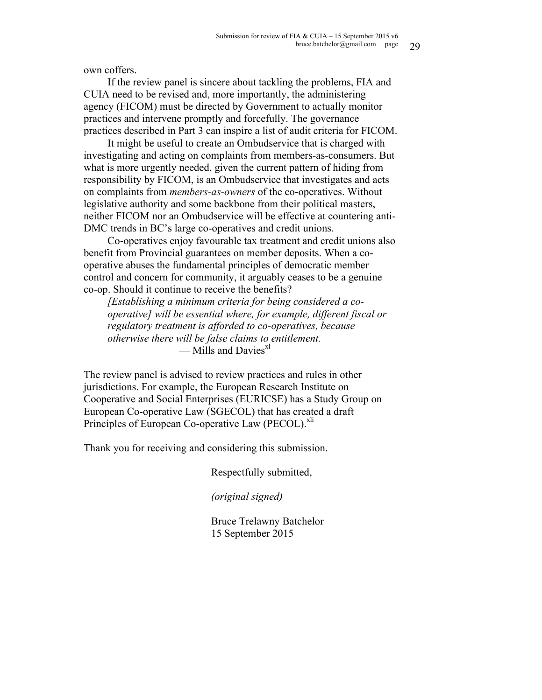own coffers.

If the review panel is sincere about tackling the problems, FIA and CUIA need to be revised and, more importantly, the administering agency (FICOM) must be directed by Government to actually monitor practices and intervene promptly and forcefully. The governance practices described in Part 3 can inspire a list of audit criteria for FICOM.

It might be useful to create an Ombudservice that is charged with investigating and acting on complaints from members-as-consumers. But what is more urgently needed, given the current pattern of hiding from responsibility by FICOM, is an Ombudservice that investigates and acts on complaints from *members-as-owners* of the co-operatives. Without legislative authority and some backbone from their political masters, neither FICOM nor an Ombudservice will be effective at countering anti-DMC trends in BC's large co-operatives and credit unions.

Co-operatives enjoy favourable tax treatment and credit unions also benefit from Provincial guarantees on member deposits. When a cooperative abuses the fundamental principles of democratic member control and concern for community, it arguably ceases to be a genuine co-op. Should it continue to receive the benefits?

*[Establishing a minimum criteria for being considered a cooperative] will be essential where, for example, different fiscal or regulatory treatment is afforded to co-operatives, because otherwise there will be false claims to entitlement.*  $-$  Mills and Davies $x^{1}$ 

The review panel is advised to review practices and rules in other jurisdictions. For example, the European Research Institute on Cooperative and Social Enterprises (EURICSE) has a Study Group on European Co-operative Law (SGECOL) that has created a draft Principles of European Co-operative Law (PECOL). xli

Thank you for receiving and considering this submission.

Respectfully submitted,

*(original signed)*

Bruce Trelawny Batchelor 15 September 2015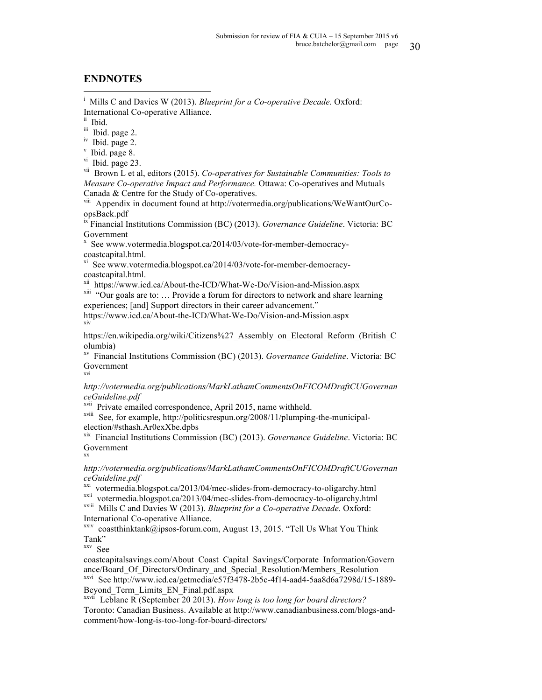### **ENDNOTES**

|<br>i Mills C and Davies W (2013). *Blueprint for a Co-operative Decade.* Oxford: International Co-operative Alliance.<br>
<sup>ii</sup> Ibid.

iii Ibid. page 2.

iv Ibid. page 2.

 $v$  Ibid. page 8.

vi Ibid. page 23.

vii Brown L et al, editors (2015). *Co-operatives for Sustainable Communities: Tools to Measure Co-operative Impact and Performance.* Ottawa: Co-operatives and Mutuals Canada & Centre for the Study of Co-operatives.

viii Appendix in document found at http://votermedia.org/publications/WeWantOurCoopsBack.pdf

ix Financial Institutions Commission (BC) (2013). *Governance Guideline*. Victoria: BC Government

x See www.votermedia.blogspot.ca/2014/03/vote-for-member-democracycoastcapital.html.

xi See www.votermedia.blogspot.ca/2014/03/vote-for-member-democracycoastcapital.html.<br>xii https://www.icd.ca/About-the-ICD/What-We-Do/Vision-and-Mission.aspx

 $x^{xiii}$  "Our goals are to: … Provide a forum for directors to network and share learning experiences; [and] Support directors in their career advancement."

https://www.icd.ca/About-the-ICD/What-We-Do/Vision-and-Mission.aspx xiv

https://en.wikipedia.org/wiki/Citizens%27\_Assembly\_on\_Electoral\_Reform\_(British\_C olumbia)

xv Financial Institutions Commission (BC) (2013). *Governance Guideline*. Victoria: BC Government xvi

*http://votermedia.org/publications/MarkLathamCommentsOnFICOMDraftCUGovernan ceGuideline.pdf*

xvii Private emailed correspondence, April 2015, name withheld.

<sup>xviii</sup> See, for example, http://politicsrespun.org/2008/11/plumping-the-municipal-election/#sthash.Ar0exXbe.dpbs

<sup>xix</sup> Financial Institutions Commission (BC) (2013). *Governance Guideline*. Victoria: BC Government xx

*http://votermedia.org/publications/MarkLathamCommentsOnFICOMDraftCUGovernan ceGuideline.pdf*

<sup>xxi</sup> votermedia.blogspot.ca/2013/04/mec-slides-from-democracy-to-oligarchy.html<br><sup>xxii</sup> votermedia.blogspot.ca/2013/04/mec-slides-from-democracy-to-oligarchy.html<br><sup>xxiii</sup> Mills C and Davies W (2013). *Blueprint for a Co-o* International Co-operative Alliance.

 $x\nx\nx\nx\nx\nx\nx\nx\nx\nx\nx\nx\nx\nx\nx\nx\nv\n\ncoast\n\n (a)  $\nabla^2 f(x)$ \n (b)  $\nabla^2 f(x)$ \n (c)  $\nabla^2 f(x)$ \n (d)  $\nabla^2 f(x)$ \n (e)  $\nabla^2 f(x)$ \n (f)  $\nabla^2 f(x)$ \n (g)  $\nabla^2 f(x)$ \n (h)  $\nabla^2 f(x)$ \n (i)  $\nabla^2 f(x)$ \n (ii)  $\nabla^2 f(x)$ \n$ Tank"

xxv See

coastcapitalsavings.com/About\_Coast\_Capital\_Savings/Corporate\_Information/Govern ance/Board Of Directors/Ordinary and Special Resolution/Members Resolution xxvi See http://www.icd.ca/getmedia/e57f3478-2b5c-4f14-aad4-5aa8d6a7298d/15-1889- Beyond\_Term\_Limits\_EN\_Final.pdf.aspx

xxvii Leblanc R (September 20 2013). *How long is too long for board directors?* Toronto: Canadian Business. Available at http://www.canadianbusiness.com/blogs-andcomment/how-long-is-too-long-for-board-directors/